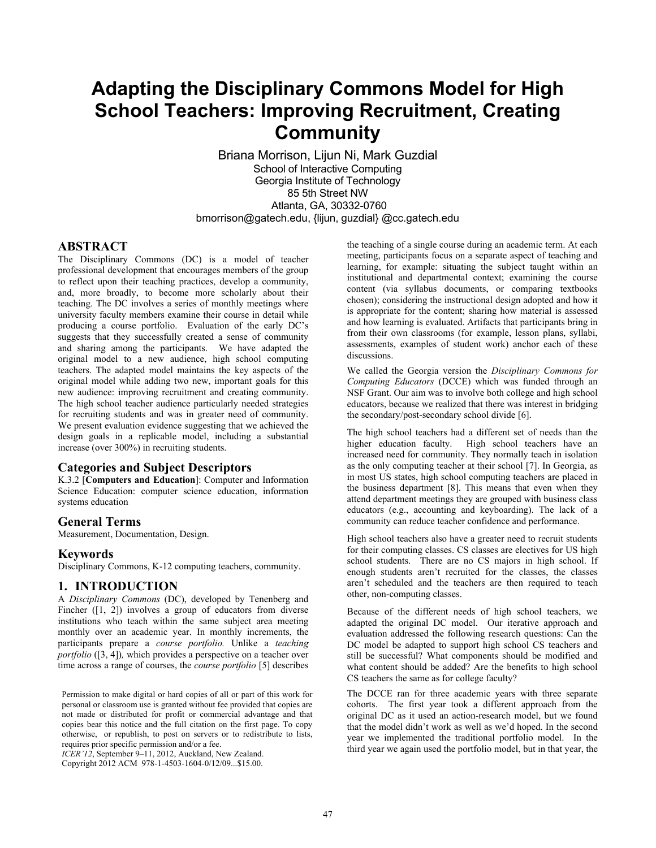# **Adapting the Disciplinary Commons Model for High School Teachers: Improving Recruitment, Creating Community**

Briana Morrison, Lijun Ni, Mark Guzdial School of Interactive Computing Georgia Institute of Technology 85 5th Street NW Atlanta, GA, 30332-0760 bmorrison@gatech.edu, {lijun, guzdial} @cc.gatech.edu

## **ABSTRACT**

The Disciplinary Commons (DC) is a model of teacher professional development that encourages members of the group to reflect upon their teaching practices, develop a community, and, more broadly, to become more scholarly about their teaching. The DC involves a series of monthly meetings where university faculty members examine their course in detail while producing a course portfolio. Evaluation of the early DC's suggests that they successfully created a sense of community and sharing among the participants. We have adapted the original model to a new audience, high school computing teachers. The adapted model maintains the key aspects of the original model while adding two new, important goals for this new audience: improving recruitment and creating community. The high school teacher audience particularly needed strategies for recruiting students and was in greater need of community. We present evaluation evidence suggesting that we achieved the design goals in a replicable model, including a substantial increase (over 300%) in recruiting students.

## **Categories and Subject Descriptors**

K.3.2 [**Computers and Education**]: Computer and Information Science Education: computer science education, information systems education

## **General Terms**

Measurement, Documentation, Design.

## **Keywords**

Disciplinary Commons, K-12 computing teachers, community.

## **1. INTRODUCTION**

A *Disciplinary Commons* (DC), developed by Tenenberg and Fincher ([1, 2]) involves a group of educators from diverse institutions who teach within the same subject area meeting monthly over an academic year. In monthly increments, the participants prepare a *course portfolio.* Unlike a *teaching portfolio* ([3, 4]), which provides a perspective on a teacher over time across a range of courses, the *course portfolio* [5] describes

Permission to make digital or hard copies of all or part of this work for personal or classroom use is granted without fee provided that copies are not made or distributed for profit or commercial advantage and that copies bear this notice and the full citation on the first page. To copy otherwise, or republish, to post on servers or to redistribute to lists, requires prior specific permission and/or a fee.

*ICER'12*, September 9–11, 2012, Auckland, New Zealand.

Copyright 2012 ACM 978-1-4503-1604-0/12/09...\$15.00.

the teaching of a single course during an academic term. At each meeting, participants focus on a separate aspect of teaching and learning, for example: situating the subject taught within an institutional and departmental context; examining the course content (via syllabus documents, or comparing textbooks chosen); considering the instructional design adopted and how it is appropriate for the content; sharing how material is assessed and how learning is evaluated. Artifacts that participants bring in from their own classrooms (for example, lesson plans, syllabi, assessments, examples of student work) anchor each of these discussions.

We called the Georgia version the *Disciplinary Commons for Computing Educators* (DCCE) which was funded through an NSF Grant. Our aim was to involve both college and high school educators, because we realized that there was interest in bridging the secondary/post-secondary school divide [6].

The high school teachers had a different set of needs than the higher education faculty. High school teachers have an increased need for community. They normally teach in isolation as the only computing teacher at their school [7]. In Georgia, as in most US states, high school computing teachers are placed in the business department [8]. This means that even when they attend department meetings they are grouped with business class educators (e.g., accounting and keyboarding). The lack of a community can reduce teacher confidence and performance.

High school teachers also have a greater need to recruit students for their computing classes. CS classes are electives for US high school students. There are no CS majors in high school. If enough students aren't recruited for the classes, the classes aren't scheduled and the teachers are then required to teach other, non-computing classes.

Because of the different needs of high school teachers, we adapted the original DC model. Our iterative approach and evaluation addressed the following research questions: Can the DC model be adapted to support high school CS teachers and still be successful? What components should be modified and what content should be added? Are the benefits to high school CS teachers the same as for college faculty?

The DCCE ran for three academic years with three separate cohorts. The first year took a different approach from the original DC as it used an action-research model, but we found that the model didn't work as well as we'd hoped. In the second year we implemented the traditional portfolio model. In the third year we again used the portfolio model, but in that year, the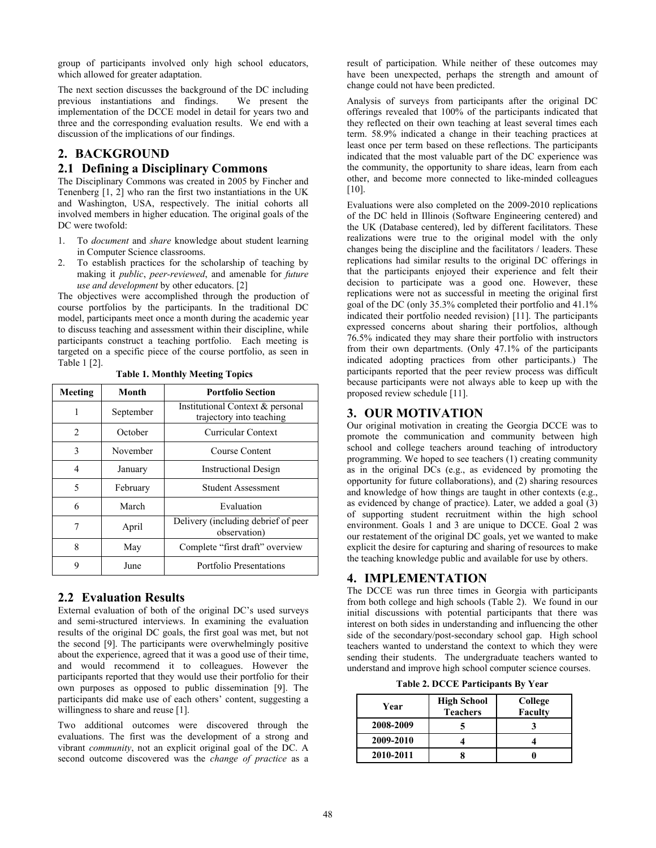group of participants involved only high school educators, which allowed for greater adaptation.

The next section discusses the background of the DC including previous instantiations and findings. We present the implementation of the DCCE model in detail for years two and three and the corresponding evaluation results. We end with a discussion of the implications of our findings.

# **2. BACKGROUND**

## **2.1 Defining a Disciplinary Commons**

The Disciplinary Commons was created in 2005 by Fincher and Tenenberg [1, 2] who ran the first two instantiations in the UK and Washington, USA, respectively. The initial cohorts all involved members in higher education. The original goals of the DC were twofold:

- 1. To *document* and *share* knowledge about student learning in Computer Science classrooms.
- 2. To establish practices for the scholarship of teaching by making it *public*, *peer-reviewed*, and amenable for *future use and development* by other educators. [2]

The objectives were accomplished through the production of course portfolios by the participants. In the traditional DC model, participants meet once a month during the academic year to discuss teaching and assessment within their discipline, while participants construct a teaching portfolio. Each meeting is targeted on a specific piece of the course portfolio, as seen in Table 1 [2].

| Meeting        | Month     | <b>Portfolio Section</b>                                     |
|----------------|-----------|--------------------------------------------------------------|
| 1              | September | Institutional Context & personal<br>trajectory into teaching |
| $\mathfrak{D}$ | October   | Curricular Context                                           |
| 3              | November  | Course Content                                               |
| 4              | January   | <b>Instructional Design</b>                                  |
| 5              | February  | Student Assessment                                           |
| 6              | March     | Evaluation                                                   |
| 7              | April     | Delivery (including debrief of peer<br>observation)          |
| 8              | May       | Complete "first draft" overview                              |
| 9              | June      | Portfolio Presentations                                      |

 **Table 1. Monthly Meeting Topics** 

# **2.2 Evaluation Results**

External evaluation of both of the original DC's used surveys and semi-structured interviews. In examining the evaluation results of the original DC goals, the first goal was met, but not the second [9]. The participants were overwhelmingly positive about the experience, agreed that it was a good use of their time, and would recommend it to colleagues. However the participants reported that they would use their portfolio for their own purposes as opposed to public dissemination [9]. The participants did make use of each others' content, suggesting a willingness to share and reuse [1].

Two additional outcomes were discovered through the evaluations. The first was the development of a strong and vibrant *community*, not an explicit original goal of the DC. A second outcome discovered was the *change of practice* as a result of participation. While neither of these outcomes may have been unexpected, perhaps the strength and amount of change could not have been predicted.

Analysis of surveys from participants after the original DC offerings revealed that 100% of the participants indicated that they reflected on their own teaching at least several times each term. 58.9% indicated a change in their teaching practices at least once per term based on these reflections. The participants indicated that the most valuable part of the DC experience was the community, the opportunity to share ideas, learn from each other, and become more connected to like-minded colleagues [10].

Evaluations were also completed on the 2009-2010 replications of the DC held in Illinois (Software Engineering centered) and the UK (Database centered), led by different facilitators. These realizations were true to the original model with the only changes being the discipline and the facilitators / leaders. These replications had similar results to the original DC offerings in that the participants enjoyed their experience and felt their decision to participate was a good one. However, these replications were not as successful in meeting the original first goal of the DC (only 35.3% completed their portfolio and 41.1% indicated their portfolio needed revision) [11]. The participants expressed concerns about sharing their portfolios, although 76.5% indicated they may share their portfolio with instructors from their own departments. (Only 47.1% of the participants indicated adopting practices from other participants.) The participants reported that the peer review process was difficult because participants were not always able to keep up with the proposed review schedule [11].

# **3. OUR MOTIVATION**

Our original motivation in creating the Georgia DCCE was to promote the communication and community between high school and college teachers around teaching of introductory programming. We hoped to see teachers (1) creating community as in the original DCs (e.g., as evidenced by promoting the opportunity for future collaborations), and (2) sharing resources and knowledge of how things are taught in other contexts (e.g., as evidenced by change of practice). Later, we added a goal (3) of supporting student recruitment within the high school environment. Goals 1 and 3 are unique to DCCE. Goal 2 was our restatement of the original DC goals, yet we wanted to make explicit the desire for capturing and sharing of resources to make the teaching knowledge public and available for use by others.

# **4. IMPLEMENTATION**

The DCCE was run three times in Georgia with participants from both college and high schools (Table 2). We found in our initial discussions with potential participants that there was interest on both sides in understanding and influencing the other side of the secondary/post-secondary school gap. High school teachers wanted to understand the context to which they were sending their students. The undergraduate teachers wanted to understand and improve high school computer science courses.

**Table 2. DCCE Participants By Year** 

| Year      | <b>High School</b><br><b>Teachers</b> | College<br><b>Faculty</b> |
|-----------|---------------------------------------|---------------------------|
| 2008-2009 |                                       |                           |
| 2009-2010 |                                       |                           |
| 2010-2011 |                                       |                           |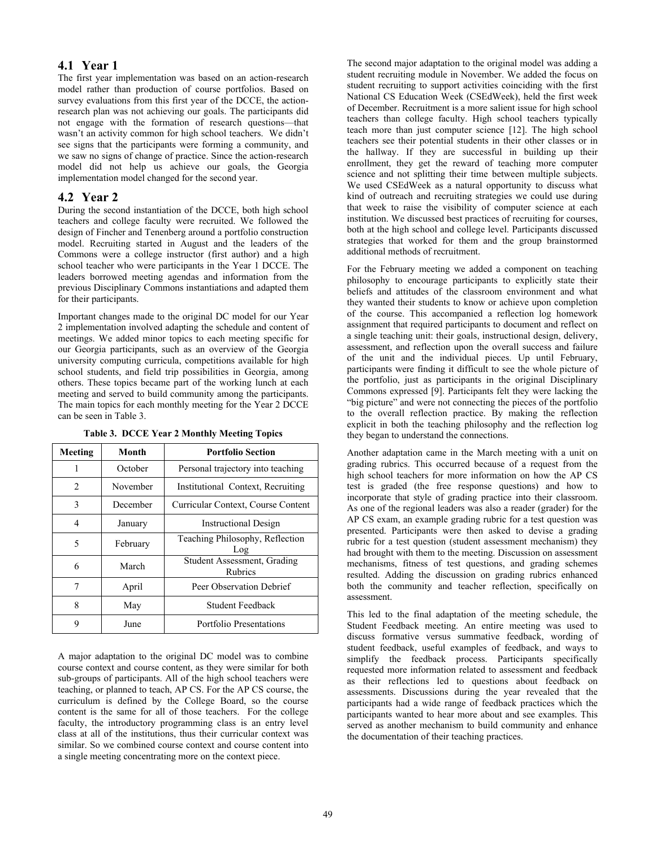## **4.1 Year 1**

The first year implementation was based on an action-research model rather than production of course portfolios. Based on survey evaluations from this first year of the DCCE, the actionresearch plan was not achieving our goals. The participants did not engage with the formation of research questions—that wasn't an activity common for high school teachers. We didn't see signs that the participants were forming a community, and we saw no signs of change of practice. Since the action-research model did not help us achieve our goals, the Georgia implementation model changed for the second year.

## **4.2 Year 2**

During the second instantiation of the DCCE, both high school teachers and college faculty were recruited. We followed the design of Fincher and Tenenberg around a portfolio construction model. Recruiting started in August and the leaders of the Commons were a college instructor (first author) and a high school teacher who were participants in the Year 1 DCCE. The leaders borrowed meeting agendas and information from the previous Disciplinary Commons instantiations and adapted them for their participants.

Important changes made to the original DC model for our Year 2 implementation involved adapting the schedule and content of meetings. We added minor topics to each meeting specific for our Georgia participants, such as an overview of the Georgia university computing curricula, competitions available for high school students, and field trip possibilities in Georgia, among others. These topics became part of the working lunch at each meeting and served to build community among the participants. The main topics for each monthly meeting for the Year 2 DCCE can be seen in Table 3.

| Meeting                       | Month    | <b>Portfolio Section</b>                      |
|-------------------------------|----------|-----------------------------------------------|
| 1                             | October  | Personal trajectory into teaching             |
| $\mathfrak{D}_{\mathfrak{p}}$ | November | Institutional Context, Recruiting             |
| 3                             | December | Curricular Context, Course Content            |
| 4                             | January  | <b>Instructional Design</b>                   |
| 5                             | February | Teaching Philosophy, Reflection<br>Log        |
| 6                             | March    | Student Assessment, Grading<br><b>Rubrics</b> |
| 7                             | April    | Peer Observation Debrief                      |
| 8                             | May      | Student Feedback                              |
| 9                             | June     | Portfolio Presentations                       |

**Table 3. DCCE Year 2 Monthly Meeting Topics** 

A major adaptation to the original DC model was to combine course context and course content, as they were similar for both sub-groups of participants. All of the high school teachers were teaching, or planned to teach, AP CS. For the AP CS course, the curriculum is defined by the College Board, so the course content is the same for all of those teachers. For the college faculty, the introductory programming class is an entry level class at all of the institutions, thus their curricular context was similar. So we combined course context and course content into a single meeting concentrating more on the context piece.

The second major adaptation to the original model was adding a student recruiting module in November. We added the focus on student recruiting to support activities coinciding with the first National CS Education Week (CSEdWeek), held the first week of December. Recruitment is a more salient issue for high school teachers than college faculty. High school teachers typically teach more than just computer science [12]. The high school teachers see their potential students in their other classes or in the hallway. If they are successful in building up their enrollment, they get the reward of teaching more computer science and not splitting their time between multiple subjects. We used CSEdWeek as a natural opportunity to discuss what kind of outreach and recruiting strategies we could use during that week to raise the visibility of computer science at each institution. We discussed best practices of recruiting for courses, both at the high school and college level. Participants discussed strategies that worked for them and the group brainstormed additional methods of recruitment.

For the February meeting we added a component on teaching philosophy to encourage participants to explicitly state their beliefs and attitudes of the classroom environment and what they wanted their students to know or achieve upon completion of the course. This accompanied a reflection log homework assignment that required participants to document and reflect on a single teaching unit: their goals, instructional design, delivery, assessment, and reflection upon the overall success and failure of the unit and the individual pieces. Up until February, participants were finding it difficult to see the whole picture of the portfolio, just as participants in the original Disciplinary Commons expressed [9]. Participants felt they were lacking the "big picture" and were not connecting the pieces of the portfolio to the overall reflection practice. By making the reflection explicit in both the teaching philosophy and the reflection log they began to understand the connections.

Another adaptation came in the March meeting with a unit on grading rubrics. This occurred because of a request from the high school teachers for more information on how the AP CS test is graded (the free response questions) and how to incorporate that style of grading practice into their classroom. As one of the regional leaders was also a reader (grader) for the AP CS exam, an example grading rubric for a test question was presented. Participants were then asked to devise a grading rubric for a test question (student assessment mechanism) they had brought with them to the meeting. Discussion on assessment mechanisms, fitness of test questions, and grading schemes resulted. Adding the discussion on grading rubrics enhanced both the community and teacher reflection, specifically on assessment.

This led to the final adaptation of the meeting schedule, the Student Feedback meeting. An entire meeting was used to discuss formative versus summative feedback, wording of student feedback, useful examples of feedback, and ways to simplify the feedback process. Participants specifically requested more information related to assessment and feedback as their reflections led to questions about feedback on assessments. Discussions during the year revealed that the participants had a wide range of feedback practices which the participants wanted to hear more about and see examples. This served as another mechanism to build community and enhance the documentation of their teaching practices.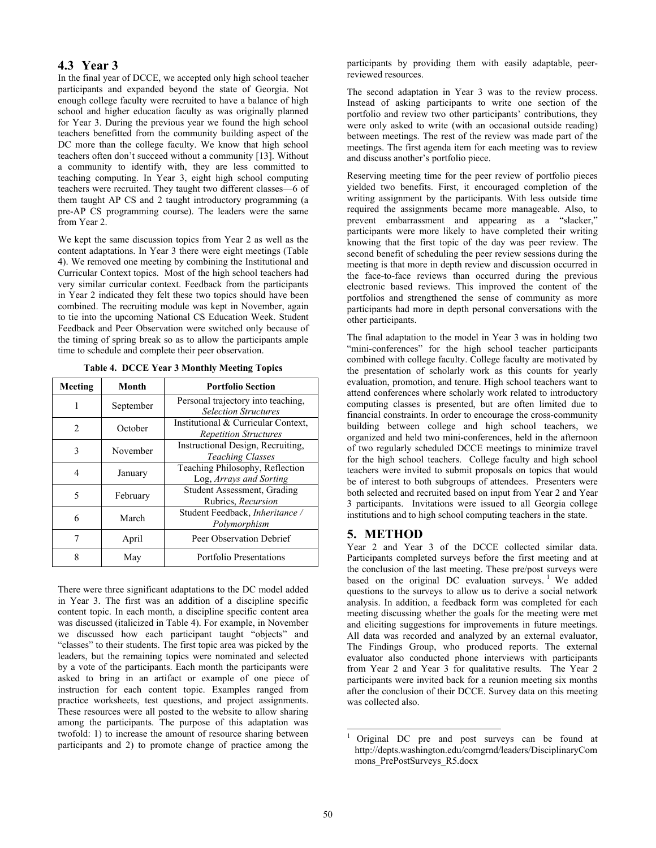## **4.3 Year 3**

In the final year of DCCE, we accepted only high school teacher participants and expanded beyond the state of Georgia. Not enough college faculty were recruited to have a balance of high school and higher education faculty as was originally planned for Year 3. During the previous year we found the high school teachers benefitted from the community building aspect of the DC more than the college faculty. We know that high school teachers often don't succeed without a community [13]. Without a community to identify with, they are less committed to teaching computing. In Year 3, eight high school computing teachers were recruited. They taught two different classes—6 of them taught AP CS and 2 taught introductory programming (a pre-AP CS programming course). The leaders were the same from Year 2.

We kept the same discussion topics from Year 2 as well as the content adaptations. In Year 3 there were eight meetings (Table 4). We removed one meeting by combining the Institutional and Curricular Context topics. Most of the high school teachers had very similar curricular context. Feedback from the participants in Year 2 indicated they felt these two topics should have been combined. The recruiting module was kept in November, again to tie into the upcoming National CS Education Week. Student Feedback and Peer Observation were switched only because of the timing of spring break so as to allow the participants ample time to schedule and complete their peer observation.

| Meeting                       | Month     | <b>Portfolio Section</b>                                            |
|-------------------------------|-----------|---------------------------------------------------------------------|
| 1                             | September | Personal trajectory into teaching,<br><b>Selection Structures</b>   |
| $\mathfrak{D}_{\mathfrak{p}}$ | October   | Institutional & Curricular Context,<br><b>Repetition Structures</b> |
| 3                             | November  | Instructional Design, Recruiting,<br><b>Teaching Classes</b>        |
| 4                             | January   | Teaching Philosophy, Reflection<br>Log, Arrays and Sorting          |
| 5                             | February  | Student Assessment, Grading<br>Rubrics, Recursion                   |
| 6                             | March     | Student Feedback, Inheritance /<br>Polymorphism                     |
| 7                             | April     | Peer Observation Debrief                                            |
| 8                             | May       | Portfolio Presentations                                             |

**Table 4. DCCE Year 3 Monthly Meeting Topics** 

There were three significant adaptations to the DC model added in Year 3. The first was an addition of a discipline specific content topic. In each month, a discipline specific content area was discussed (italicized in Table 4). For example, in November we discussed how each participant taught "objects" and "classes" to their students. The first topic area was picked by the leaders, but the remaining topics were nominated and selected by a vote of the participants. Each month the participants were asked to bring in an artifact or example of one piece of instruction for each content topic. Examples ranged from practice worksheets, test questions, and project assignments. These resources were all posted to the website to allow sharing among the participants. The purpose of this adaptation was twofold: 1) to increase the amount of resource sharing between participants and 2) to promote change of practice among the

participants by providing them with easily adaptable, peerreviewed resources.

The second adaptation in Year 3 was to the review process. Instead of asking participants to write one section of the portfolio and review two other participants' contributions, they were only asked to write (with an occasional outside reading) between meetings. The rest of the review was made part of the meetings. The first agenda item for each meeting was to review and discuss another's portfolio piece.

Reserving meeting time for the peer review of portfolio pieces yielded two benefits. First, it encouraged completion of the writing assignment by the participants. With less outside time required the assignments became more manageable. Also, to prevent embarrassment and appearing as a "slacker," participants were more likely to have completed their writing knowing that the first topic of the day was peer review. The second benefit of scheduling the peer review sessions during the meeting is that more in depth review and discussion occurred in the face-to-face reviews than occurred during the previous electronic based reviews. This improved the content of the portfolios and strengthened the sense of community as more participants had more in depth personal conversations with the other participants.

The final adaptation to the model in Year 3 was in holding two "mini-conferences" for the high school teacher participants combined with college faculty. College faculty are motivated by the presentation of scholarly work as this counts for yearly evaluation, promotion, and tenure. High school teachers want to attend conferences where scholarly work related to introductory computing classes is presented, but are often limited due to financial constraints. In order to encourage the cross-community building between college and high school teachers, we organized and held two mini-conferences, held in the afternoon of two regularly scheduled DCCE meetings to minimize travel for the high school teachers. College faculty and high school teachers were invited to submit proposals on topics that would be of interest to both subgroups of attendees. Presenters were both selected and recruited based on input from Year 2 and Year 3 participants. Invitations were issued to all Georgia college institutions and to high school computing teachers in the state.

## **5. METHOD**

Year 2 and Year 3 of the DCCE collected similar data. Participants completed surveys before the first meeting and at the conclusion of the last meeting. These pre/post surveys were based on the original DC evaluation surveys.<sup>1</sup> We added questions to the surveys to allow us to derive a social network analysis. In addition, a feedback form was completed for each meeting discussing whether the goals for the meeting were met and eliciting suggestions for improvements in future meetings. All data was recorded and analyzed by an external evaluator, The Findings Group, who produced reports. The external evaluator also conducted phone interviews with participants from Year 2 and Year 3 for qualitative results. The Year 2 participants were invited back for a reunion meeting six months after the conclusion of their DCCE. Survey data on this meeting was collected also.

1

<sup>1</sup> Original DC pre and post surveys can be found at http://depts.washington.edu/comgrnd/leaders/DisciplinaryCom mons\_PrePostSurveys\_R5.docx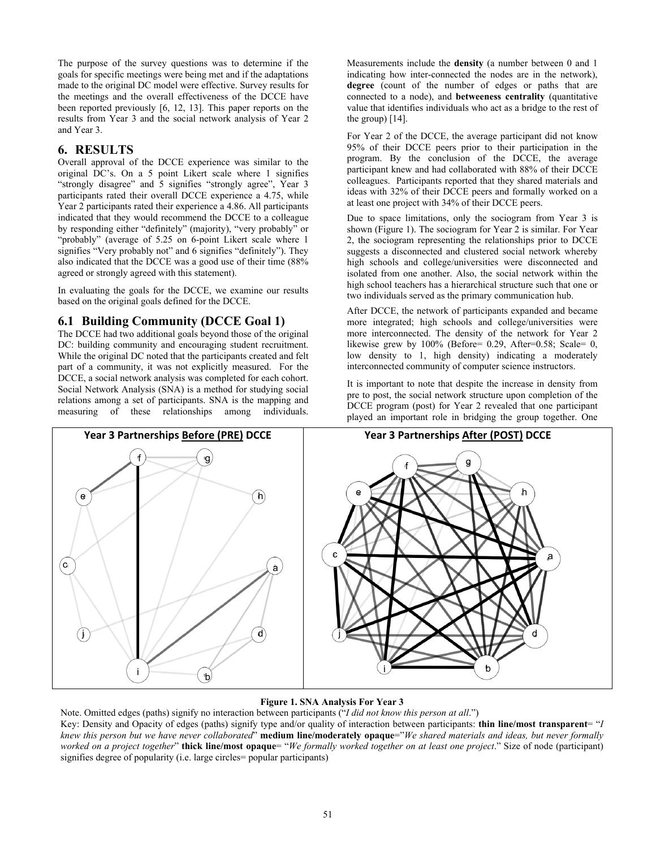The purpose of the survey questions was to determine if the goals for specific meetings were being met and if the adaptations made to the original DC model were effective. Survey results for the meetings and the overall effectiveness of the DCCE have been reported previously [6, 12, 13]. This paper reports on the results from Year 3 and the social network analysis of Year 2 and Year 3.

# **6. RESULTS**

Overall approval of the DCCE experience was similar to the original DC's. On a 5 point Likert scale where 1 signifies "strongly disagree" and 5 signifies "strongly agree", Year 3 participants rated their overall DCCE experience a 4.75, while Year 2 participants rated their experience a 4.86. All participants indicated that they would recommend the DCCE to a colleague by responding either "definitely" (majority), "very probably" or "probably" (average of 5.25 on 6-point Likert scale where 1 signifies "Very probably not" and 6 signifies "definitely"). They also indicated that the DCCE was a good use of their time (88% agreed or strongly agreed with this statement).

In evaluating the goals for the DCCE, we examine our results based on the original goals defined for the DCCE.

# **6.1 Building Community (DCCE Goal 1)**

The DCCE had two additional goals beyond those of the original DC: building community and encouraging student recruitment. While the original DC noted that the participants created and felt part of a community, it was not explicitly measured. For the DCCE, a social network analysis was completed for each cohort. Social Network Analysis (SNA) is a method for studying social relations among a set of participants. SNA is the mapping and measuring of these relationships among individuals.

signifies degree of popularity (i.e. large circles= popular participants)

Measurements include the **density** (a number between 0 and 1 indicating how inter-connected the nodes are in the network), **degree** (count of the number of edges or paths that are connected to a node), and **betweeness centrality** (quantitative value that identifies individuals who act as a bridge to the rest of the group)  $[14]$ .

For Year 2 of the DCCE, the average participant did not know 95% of their DCCE peers prior to their participation in the program. By the conclusion of the DCCE, the average participant knew and had collaborated with 88% of their DCCE colleagues. Participants reported that they shared materials and ideas with 32% of their DCCE peers and formally worked on a at least one project with 34% of their DCCE peers.

Due to space limitations, only the sociogram from Year 3 is shown (Figure 1). The sociogram for Year 2 is similar. For Year 2, the sociogram representing the relationships prior to DCCE suggests a disconnected and clustered social network whereby high schools and college/universities were disconnected and isolated from one another. Also, the social network within the high school teachers has a hierarchical structure such that one or two individuals served as the primary communication hub.

After DCCE, the network of participants expanded and became more integrated; high schools and college/universities were more interconnected. The density of the network for Year 2 likewise grew by 100% (Before= 0.29, After=0.58; Scale= 0, low density to 1, high density) indicating a moderately interconnected community of computer science instructors.

It is important to note that despite the increase in density from pre to post, the social network structure upon completion of the DCCE program (post) for Year 2 revealed that one participant played an important role in bridging the group together. One



# **Figure 1. SNA Analysis For Year 3**

Note. Omitted edges (paths) signify no interaction between participants ("*I did not know this person at all*.") Key: Density and Opacity of edges (paths) signify type and/or quality of interaction between participants: **thin line/most transparent**= "*I*  knew this person but we have never collaborated" **medium line/moderately opaque**="We shared materials and ideas, but never formally *worked on a project together*" **thick line/most opaque**= "*We formally worked together on at least one project*." Size of node (participant)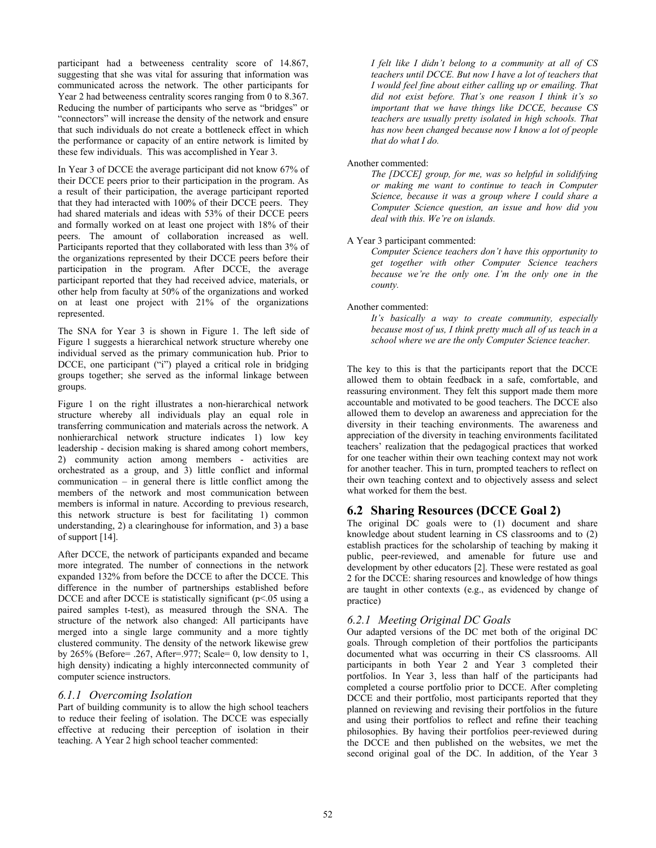participant had a betweeness centrality score of 14.867, suggesting that she was vital for assuring that information was communicated across the network. The other participants for Year 2 had betweeness centrality scores ranging from 0 to 8.367. Reducing the number of participants who serve as "bridges" or "connectors" will increase the density of the network and ensure that such individuals do not create a bottleneck effect in which the performance or capacity of an entire network is limited by these few individuals. This was accomplished in Year 3.

In Year 3 of DCCE the average participant did not know 67% of their DCCE peers prior to their participation in the program. As a result of their participation, the average participant reported that they had interacted with 100% of their DCCE peers. They had shared materials and ideas with 53% of their DCCE peers and formally worked on at least one project with 18% of their peers. The amount of collaboration increased as well. Participants reported that they collaborated with less than 3% of the organizations represented by their DCCE peers before their participation in the program. After DCCE, the average participant reported that they had received advice, materials, or other help from faculty at 50% of the organizations and worked on at least one project with 21% of the organizations represented.

The SNA for Year 3 is shown in Figure 1. The left side of Figure 1 suggests a hierarchical network structure whereby one individual served as the primary communication hub. Prior to DCCE, one participant ("i") played a critical role in bridging groups together; she served as the informal linkage between groups.

Figure 1 on the right illustrates a non-hierarchical network structure whereby all individuals play an equal role in transferring communication and materials across the network. A nonhierarchical network structure indicates 1) low key leadership - decision making is shared among cohort members, 2) community action among members - activities are orchestrated as a group, and 3) little conflict and informal communication – in general there is little conflict among the members of the network and most communication between members is informal in nature. According to previous research, this network structure is best for facilitating 1) common understanding, 2) a clearinghouse for information, and 3) a base of support [14].

After DCCE, the network of participants expanded and became more integrated. The number of connections in the network expanded 132% from before the DCCE to after the DCCE. This difference in the number of partnerships established before DCCE and after DCCE is statistically significant (p<.05 using a paired samples t-test), as measured through the SNA. The structure of the network also changed: All participants have merged into a single large community and a more tightly clustered community. The density of the network likewise grew by 265% (Before= .267, After=.977; Scale= 0, low density to 1, high density) indicating a highly interconnected community of computer science instructors.

## *6.1.1 Overcoming Isolation*

Part of building community is to allow the high school teachers to reduce their feeling of isolation. The DCCE was especially effective at reducing their perception of isolation in their teaching. A Year 2 high school teacher commented:

*I felt like I didn't belong to a community at all of CS teachers until DCCE. But now I have a lot of teachers that I would feel fine about either calling up or emailing. That did not exist before. That's one reason I think it's so important that we have things like DCCE, because CS teachers are usually pretty isolated in high schools. That has now been changed because now I know a lot of people that do what I do.* 

#### Another commented:

*The [DCCE] group, for me, was so helpful in solidifying or making me want to continue to teach in Computer Science, because it was a group where I could share a Computer Science question, an issue and how did you deal with this. We're on islands.* 

#### A Year 3 participant commented:

*Computer Science teachers don't have this opportunity to get together with other Computer Science teachers because we're the only one. I'm the only one in the county.* 

#### Another commented:

*It's basically a way to create community, especially because most of us, I think pretty much all of us teach in a school where we are the only Computer Science teacher.* 

The key to this is that the participants report that the DCCE allowed them to obtain feedback in a safe, comfortable, and reassuring environment. They felt this support made them more accountable and motivated to be good teachers. The DCCE also allowed them to develop an awareness and appreciation for the diversity in their teaching environments. The awareness and appreciation of the diversity in teaching environments facilitated teachers' realization that the pedagogical practices that worked for one teacher within their own teaching context may not work for another teacher. This in turn, prompted teachers to reflect on their own teaching context and to objectively assess and select what worked for them the best.

## **6.2 Sharing Resources (DCCE Goal 2)**

The original DC goals were to (1) document and share knowledge about student learning in CS classrooms and to (2) establish practices for the scholarship of teaching by making it public, peer-reviewed, and amenable for future use and development by other educators [2]. These were restated as goal 2 for the DCCE: sharing resources and knowledge of how things are taught in other contexts (e.g., as evidenced by change of practice)

## *6.2.1 Meeting Original DC Goals*

Our adapted versions of the DC met both of the original DC goals. Through completion of their portfolios the participants documented what was occurring in their CS classrooms. All participants in both Year 2 and Year 3 completed their portfolios. In Year 3, less than half of the participants had completed a course portfolio prior to DCCE. After completing DCCE and their portfolio, most participants reported that they planned on reviewing and revising their portfolios in the future and using their portfolios to reflect and refine their teaching philosophies. By having their portfolios peer-reviewed during the DCCE and then published on the websites, we met the second original goal of the DC. In addition, of the Year 3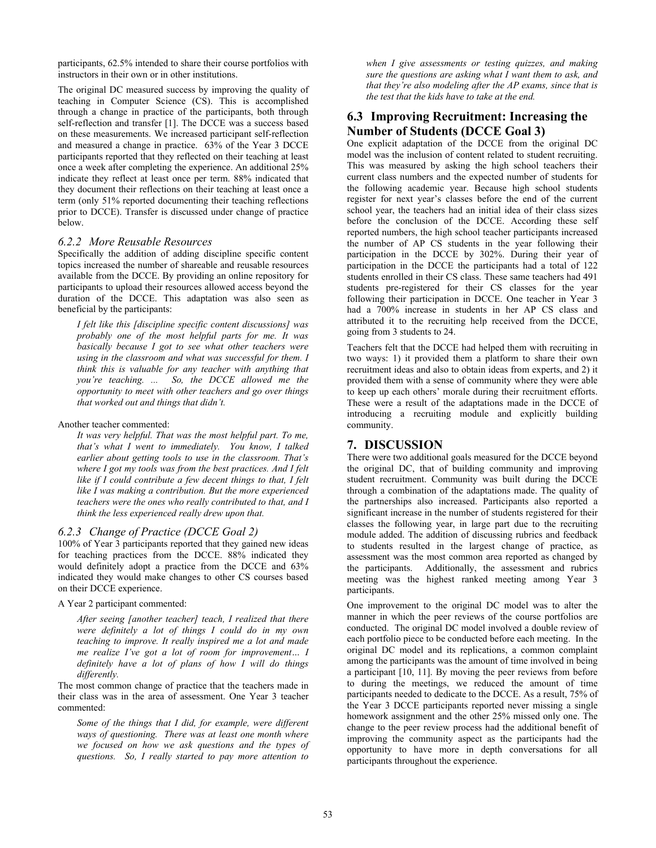participants, 62.5% intended to share their course portfolios with instructors in their own or in other institutions.

The original DC measured success by improving the quality of teaching in Computer Science (CS). This is accomplished through a change in practice of the participants, both through self-reflection and transfer [1]. The DCCE was a success based on these measurements. We increased participant self-reflection and measured a change in practice. 63% of the Year 3 DCCE participants reported that they reflected on their teaching at least once a week after completing the experience. An additional 25% indicate they reflect at least once per term. 88% indicated that they document their reflections on their teaching at least once a term (only 51% reported documenting their teaching reflections prior to DCCE). Transfer is discussed under change of practice below.

## *6.2.2 More Reusable Resources*

Specifically the addition of adding discipline specific content topics increased the number of shareable and reusable resources available from the DCCE. By providing an online repository for participants to upload their resources allowed access beyond the duration of the DCCE. This adaptation was also seen as beneficial by the participants:

*I felt like this [discipline specific content discussions] was probably one of the most helpful parts for me. It was basically because I got to see what other teachers were using in the classroom and what was successful for them. I think this is valuable for any teacher with anything that you're teaching. ... So, the DCCE allowed me the opportunity to meet with other teachers and go over things that worked out and things that didn't.* 

#### Another teacher commented:

*It was very helpful. That was the most helpful part. To me, that's what I went to immediately. You know, I talked earlier about getting tools to use in the classroom. That's where I got my tools was from the best practices. And I felt like if I could contribute a few decent things to that, I felt like I was making a contribution. But the more experienced teachers were the ones who really contributed to that, and I think the less experienced really drew upon that.* 

## *6.2.3 Change of Practice (DCCE Goal 2)*

100% of Year 3 participants reported that they gained new ideas for teaching practices from the DCCE. 88% indicated they would definitely adopt a practice from the DCCE and 63% indicated they would make changes to other CS courses based on their DCCE experience.

#### A Year 2 participant commented:

*After seeing [another teacher] teach, I realized that there were definitely a lot of things I could do in my own teaching to improve. It really inspired me a lot and made me realize I've got a lot of room for improvement… I definitely have a lot of plans of how I will do things differently.* 

The most common change of practice that the teachers made in their class was in the area of assessment. One Year 3 teacher commented:

*Some of the things that I did, for example, were different ways of questioning. There was at least one month where we focused on how we ask questions and the types of questions. So, I really started to pay more attention to* 

*when I give assessments or testing quizzes, and making sure the questions are asking what I want them to ask, and that they're also modeling after the AP exams, since that is the test that the kids have to take at the end.* 

## **6.3 Improving Recruitment: Increasing the Number of Students (DCCE Goal 3)**

One explicit adaptation of the DCCE from the original DC model was the inclusion of content related to student recruiting. This was measured by asking the high school teachers their current class numbers and the expected number of students for the following academic year. Because high school students register for next year's classes before the end of the current school year, the teachers had an initial idea of their class sizes before the conclusion of the DCCE. According these self reported numbers, the high school teacher participants increased the number of AP CS students in the year following their participation in the DCCE by 302%. During their year of participation in the DCCE the participants had a total of 122 students enrolled in their CS class. These same teachers had 491 students pre-registered for their CS classes for the year following their participation in DCCE. One teacher in Year 3 had a 700% increase in students in her AP CS class and attributed it to the recruiting help received from the DCCE, going from 3 students to 24.

Teachers felt that the DCCE had helped them with recruiting in two ways: 1) it provided them a platform to share their own recruitment ideas and also to obtain ideas from experts, and 2) it provided them with a sense of community where they were able to keep up each others' morale during their recruitment efforts. These were a result of the adaptations made in the DCCE of introducing a recruiting module and explicitly building community.

## **7. DISCUSSION**

There were two additional goals measured for the DCCE beyond the original DC, that of building community and improving student recruitment. Community was built during the DCCE through a combination of the adaptations made. The quality of the partnerships also increased. Participants also reported a significant increase in the number of students registered for their classes the following year, in large part due to the recruiting module added. The addition of discussing rubrics and feedback to students resulted in the largest change of practice, as assessment was the most common area reported as changed by the participants. Additionally, the assessment and rubrics meeting was the highest ranked meeting among Year 3 participants.

One improvement to the original DC model was to alter the manner in which the peer reviews of the course portfolios are conducted. The original DC model involved a double review of each portfolio piece to be conducted before each meeting. In the original DC model and its replications, a common complaint among the participants was the amount of time involved in being a participant [10, 11]. By moving the peer reviews from before to during the meetings, we reduced the amount of time participants needed to dedicate to the DCCE. As a result, 75% of the Year 3 DCCE participants reported never missing a single homework assignment and the other 25% missed only one. The change to the peer review process had the additional benefit of improving the community aspect as the participants had the opportunity to have more in depth conversations for all participants throughout the experience.